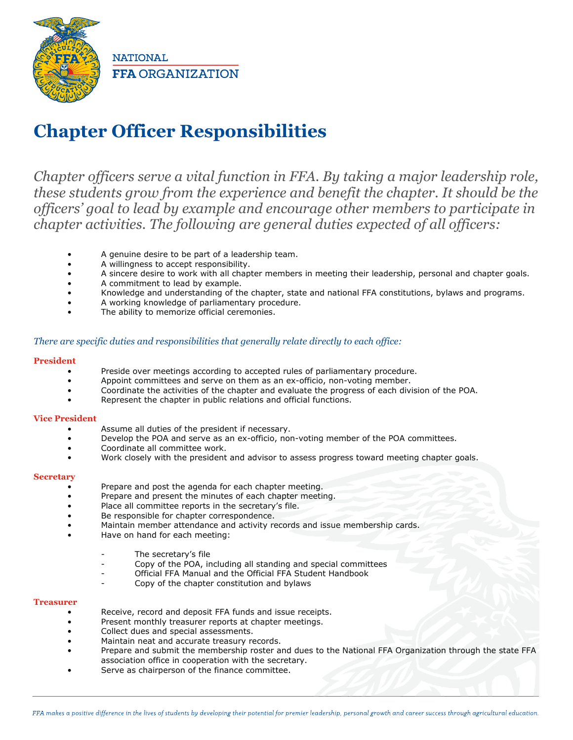

**NATIONAL FFA ORGANIZATION** 

# **Chapter Officer Responsibilities**

*Chapter officers serve a vital function in FFA. By taking a major leadership role, these students grow from the experience and benefit the chapter. It should be the officers' goal to lead by example and encourage other members to participate in chapter activities. The following are general duties expected of all officers:*

- A genuine desire to be part of a leadership team.
- A willingness to accept responsibility.
- A sincere desire to work with all chapter members in meeting their leadership, personal and chapter goals.
- A commitment to lead by example.
- Knowledge and understanding of the chapter, state and national FFA constitutions, bylaws and programs.
- A working knowledge of parliamentary procedure.
- The ability to memorize official ceremonies.

# *There are specific duties and responsibilities that generally relate directly to each office:*

# **President**

- Preside over meetings according to accepted rules of parliamentary procedure.
- Appoint committees and serve on them as an ex-officio, non-voting member.
- Coordinate the activities of the chapter and evaluate the progress of each division of the POA.
- Represent the chapter in public relations and official functions.

# **Vice President**

- Assume all duties of the president if necessary.
- Develop the POA and serve as an ex-officio, non-voting member of the POA committees.
- Coordinate all committee work.
- Work closely with the president and advisor to assess progress toward meeting chapter goals.

# **Secretary**

- Prepare and post the agenda for each chapter meeting.
- Prepare and present the minutes of each chapter meeting.
- Place all committee reports in the secretary's file.
- Be responsible for chapter correspondence.
- Maintain member attendance and activity records and issue membership cards.
- Have on hand for each meeting:
	- The secretary's file
	- Copy of the POA, including all standing and special committees
	- Official FFA Manual and the Official FFA Student Handbook
	- Copy of the chapter constitution and bylaws

# **Treasurer**

- Receive, record and deposit FFA funds and issue receipts.
- Present monthly treasurer reports at chapter meetings.
- Collect dues and special assessments.
- Maintain neat and accurate treasury records.
- Prepare and submit the membership roster and dues to the National FFA Organization through the state FFA association office in cooperation with the secretary.
- Serve as chairperson of the finance committee.